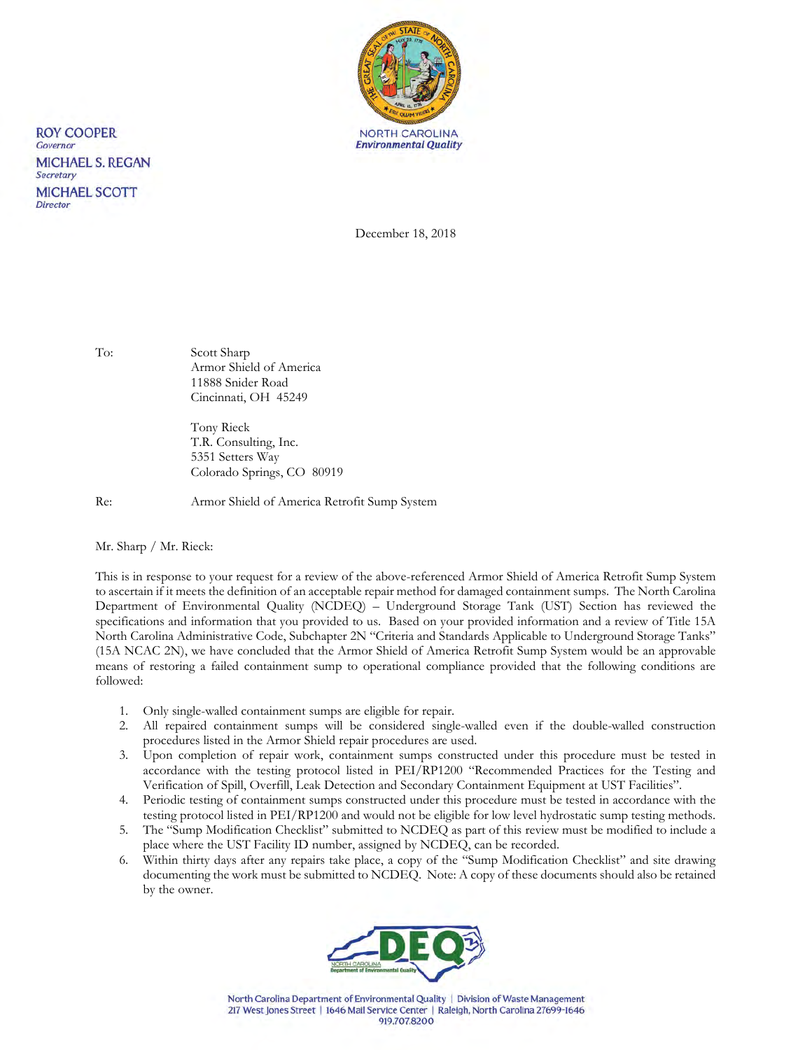

December 18, 2018

**ROY COOPER** Governor

Secretary

**Director** 

**MICHAEL S. REGAN** 

**MICHAEL SCOTT** 

To: Scott Sharp Armor Shield of America 11888 Snider Road Cincinnati, OH 45249

> Tony Rieck T.R. Consulting, Inc. 5351 Setters Way Colorado Springs, CO 80919

Re: Armor Shield of America Retrofit Sump System

Mr. Sharp / Mr. Rieck:

This is in response to your request for a review of the above-referenced Armor Shield of America Retrofit Sump System to ascertain if it meets the definition of an acceptable repair method for damaged containment sumps. The North Carolina Department of Environmental Quality (NCDEQ) – Underground Storage Tank (UST) Section has reviewed the specifications and information that you provided to us. Based on your provided information and a review of Title 15A North Carolina Administrative Code, Subchapter 2N "Criteria and Standards Applicable to Underground Storage Tanks" (15A NCAC 2N), we have concluded that the Armor Shield of America Retrofit Sump System would be an approvable means of restoring a failed containment sump to operational compliance provided that the following conditions are followed:

- 1. Only single-walled containment sumps are eligible for repair.
- 2. All repaired containment sumps will be considered single-walled even if the double-walled construction procedures listed in the Armor Shield repair procedures are used.
- 3. Upon completion of repair work, containment sumps constructed under this procedure must be tested in accordance with the testing protocol listed in PEI/RP1200 "Recommended Practices for the Testing and Verification of Spill, Overfill, Leak Detection and Secondary Containment Equipment at UST Facilities".
- 4. Periodic testing of containment sumps constructed under this procedure must be tested in accordance with the testing protocol listed in PEI/RP1200 and would not be eligible for low level hydrostatic sump testing methods.
- 5. The "Sump Modification Checklist" submitted to NCDEQ as part of this review must be modified to include a place where the UST Facility ID number, assigned by NCDEQ, can be recorded.
- 6. Within thirty days after any repairs take place, a copy of the "Sump Modification Checklist" and site drawing documenting the work must be submitted to NCDEQ. Note: A copy of these documents should also be retained by the owner.



North Carolina Department of Environmental Quality | Division of Waste Management 217 West Jones Street | 1646 Mail Service Center | Raleigh, North Carolina 27699-1646 919.707.8200